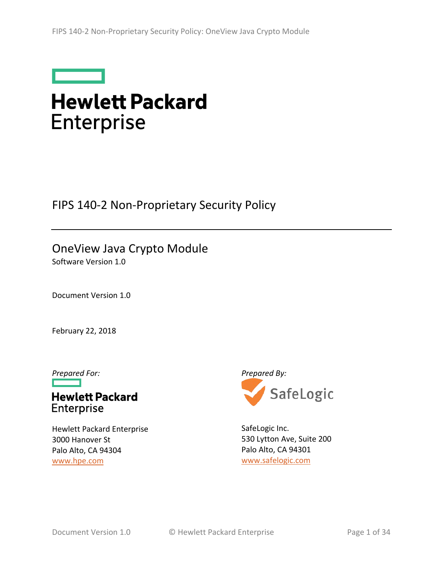

# **Hewlett Packard Enterprise**

FIPS 140-2 Non-Proprietary Security Policy

# OneView Java Crypto Module

Software Version 1.0

Document Version 1.0

February 22, 2018

**Hewlett Packard** Enterprise

Hewlett Packard Enterprise 3000 Hanover St Palo Alto, CA 94304 [www.hpe.com](http://www.hpe.com/)



SafeLogic Inc. 530 Lytton Ave, Suite 200 Palo Alto, CA 94301 [www.safelogic.com](https://www.safelogic.com/)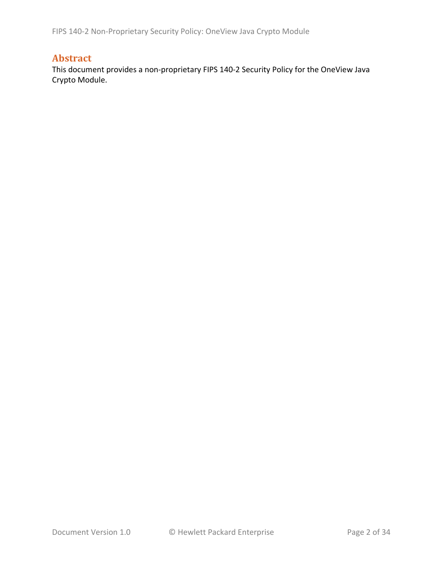FIPS 140-2 Non-Proprietary Security Policy: OneView Java Crypto Module

#### **Abstract**

This document provides a non-proprietary FIPS 140-2 Security Policy for the OneView Java Crypto Module.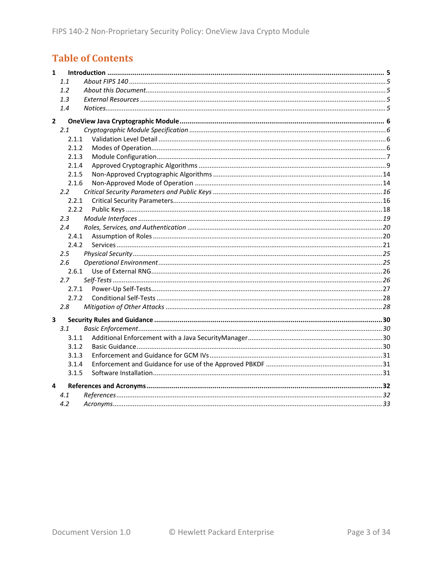# **Table of Contents**

| $\mathbf{1}$            |       |  |
|-------------------------|-------|--|
|                         | 1.1   |  |
|                         | 1.2   |  |
|                         | 1.3   |  |
|                         | 1.4   |  |
| $\overline{2}$          |       |  |
|                         | 2.1   |  |
|                         | 2.1.1 |  |
|                         | 2.1.2 |  |
|                         | 2.1.3 |  |
|                         | 2.1.4 |  |
|                         | 2.1.5 |  |
|                         | 2.1.6 |  |
|                         | 2.2   |  |
|                         | 2.2.1 |  |
|                         | 2.2.2 |  |
|                         | 2.3   |  |
|                         | 2.4   |  |
|                         | 2.4.1 |  |
|                         | 2.4.2 |  |
|                         | 2.5   |  |
|                         | 2.6   |  |
|                         | 2.6.1 |  |
|                         | 2.7   |  |
|                         | 2.7.1 |  |
|                         | 2.7.2 |  |
|                         | 2.8   |  |
| $\overline{\mathbf{3}}$ |       |  |
|                         | 3.1   |  |
|                         | 3.1.1 |  |
|                         | 3.1.2 |  |
|                         | 3.1.3 |  |
|                         | 3.1.4 |  |
|                         | 3.1.5 |  |
| 4                       |       |  |
|                         | 4.1   |  |
|                         | 4.2   |  |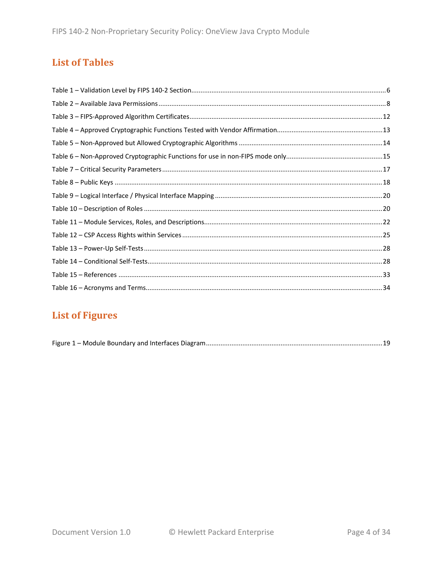## **List of Tables**

# **List of Figures**

|--|--|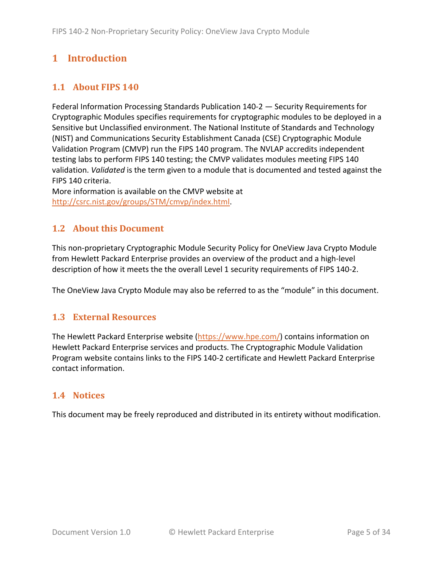# <span id="page-4-0"></span>**1 Introduction**

#### <span id="page-4-1"></span>**1.1 About FIPS 140**

Federal Information Processing Standards Publication 140-2 — Security Requirements for Cryptographic Modules specifies requirements for cryptographic modules to be deployed in a Sensitive but Unclassified environment. The National Institute of Standards and Technology (NIST) and Communications Security Establishment Canada (CSE) Cryptographic Module Validation Program (CMVP) run the FIPS 140 program. The NVLAP accredits independent testing labs to perform FIPS 140 testing; the CMVP validates modules meeting FIPS 140 validation. *Validated* is the term given to a module that is documented and tested against the FIPS 140 criteria.

More information is available on the CMVP website at [http://csrc.nist.gov/groups/STM/cmvp/index.html.](http://csrc.nist.gov/groups/STM/cmvp/index.html)

#### <span id="page-4-2"></span>**1.2 About this Document**

This non-proprietary Cryptographic Module Security Policy for OneView Java Crypto Module from Hewlett Packard Enterprise provides an overview of the product and a high-level description of how it meets the the overall Level 1 security requirements of FIPS 140-2.

<span id="page-4-3"></span>The OneView Java Crypto Module may also be referred to as the "module" in this document.

#### **1.3 External Resources**

The Hewlett Packard Enterprise website [\(https://www.hpe.com/\)](https://www.hpe.com/) contains information on Hewlett Packard Enterprise services and products. The Cryptographic Module Validation Program website contains links to the FIPS 140-2 certificate and Hewlett Packard Enterprise contact information.

#### <span id="page-4-4"></span>**1.4 Notices**

This document may be freely reproduced and distributed in its entirety without modification.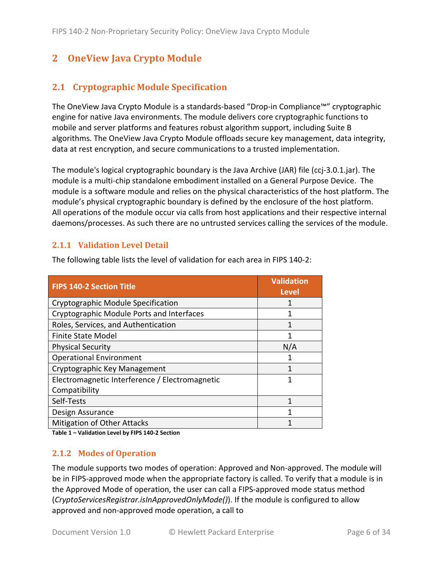# <span id="page-5-0"></span>**2 OneView Java Crypto Module**

#### <span id="page-5-1"></span>**2.1 Cryptographic Module Specification**

The OneView Java Crypto Module is a standards-based "Drop-in Compliance™" cryptographic engine for native Java environments. The module delivers core cryptographic functions to mobile and server platforms and features robust algorithm support, including Suite B algorithms. The OneView Java Crypto Module offloads secure key management, data integrity, data at rest encryption, and secure communications to a trusted implementation.

The module's logical cryptographic boundary is the Java Archive (JAR) file (ccj-3.0.1.jar). The module is a multi-chip standalone embodiment installed on a General Purpose Device. The module is a software module and relies on the physical characteristics of the host platform. The module's physical cryptographic boundary is defined by the enclosure of the host platform. All operations of the module occur via calls from host applications and their respective internal daemons/processes. As such there are no untrusted services calling the services of the module.

#### <span id="page-5-2"></span>**2.1.1 Validation Level Detail**

| <b>FIPS 140-2 Section Title</b>                | <b>Validation</b><br><b>Level</b> |
|------------------------------------------------|-----------------------------------|
| Cryptographic Module Specification             |                                   |
| Cryptographic Module Ports and Interfaces      |                                   |
| Roles, Services, and Authentication            |                                   |
| <b>Finite State Model</b>                      |                                   |
| <b>Physical Security</b>                       | N/A                               |
| <b>Operational Environment</b>                 |                                   |
| Cryptographic Key Management                   |                                   |
| Electromagnetic Interference / Electromagnetic |                                   |
| Compatibility                                  |                                   |
| Self-Tests                                     |                                   |
| Design Assurance                               |                                   |
| Mitigation of Other Attacks                    |                                   |

The following table lists the level of validation for each area in FIPS 140-2:

<span id="page-5-3"></span>**Table 1 – Validation Level by FIPS 140-2 Section**

#### **2.1.2 Modes of Operation**

The module supports two modes of operation: Approved and Non-approved. The module will be in FIPS-approved mode when the appropriate factory is called. To verify that a module is in the Approved Mode of operation, the user can call a FIPS-approved mode status method (*CryptoServicesRegistrar.isInApprovedOnlyMode()*). If the module is configured to allow approved and non-approved mode operation, a call to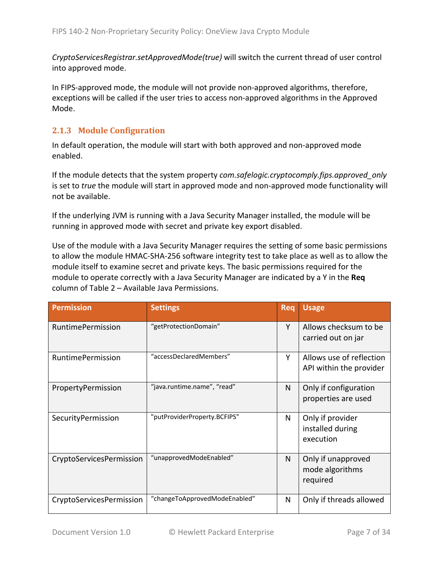*CryptoServicesRegistrar.setApprovedMode(true)* will switch the current thread of user control into approved mode.

In FIPS-approved mode, the module will not provide non-approved algorithms, therefore, exceptions will be called if the user tries to access non-approved algorithms in the Approved Mode.

#### <span id="page-6-0"></span>**2.1.3 Module Configuration**

In default operation, the module will start with both approved and non-approved mode enabled.

If the module detects that the system property *com.safelogic.cryptocomply.fips.approved\_only*  is set to *true* the module will start in approved mode and non-approved mode functionality will not be available.

If the underlying JVM is running with a Java Security Manager installed, the module will be running in approved mode with secret and private key export disabled.

Use of the module with a Java Security Manager requires the setting of some basic permissions to allow the module HMAC-SHA-256 software integrity test to take place as well as to allow the module itself to examine secret and private keys. The basic permissions required for the module to operate correctly with a Java Security Manager are indicated by a Y in the **Req** column of Table 2 – [Available Java Permissions.](#page-7-0)

| <b>Permission</b>        | <b>Settings</b>               | <b>Req</b> | <b>Usage</b>                                        |
|--------------------------|-------------------------------|------------|-----------------------------------------------------|
| <b>RuntimePermission</b> | "getProtectionDomain"         | Y          | Allows checksum to be<br>carried out on jar         |
| <b>RuntimePermission</b> | "accessDeclaredMembers"       | Y          | Allows use of reflection<br>API within the provider |
| PropertyPermission       | "java.runtime.name", "read"   | N          | Only if configuration<br>properties are used        |
| SecurityPermission       | "putProviderProperty.BCFIPS"  | N          | Only if provider<br>installed during<br>execution   |
| CryptoServicesPermission | "unapprovedModeEnabled"       | N          | Only if unapproved<br>mode algorithms<br>required   |
| CryptoServicesPermission | "changeToApprovedModeEnabled" | N          | Only if threads allowed                             |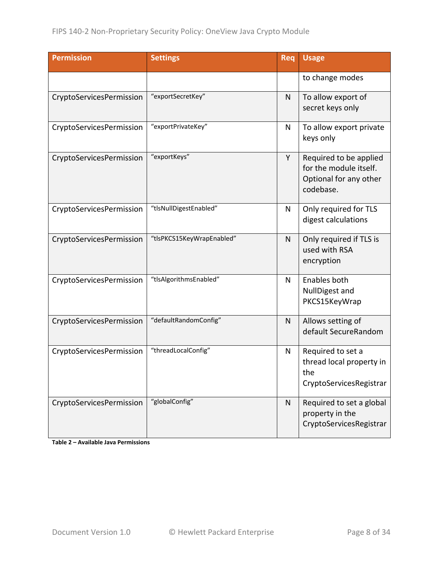| <b>Permission</b>        | <b>Settings</b>           | Req          | <b>Usage</b>                                                                            |
|--------------------------|---------------------------|--------------|-----------------------------------------------------------------------------------------|
|                          |                           |              | to change modes                                                                         |
| CryptoServicesPermission | "exportSecretKey"         | $\mathsf{N}$ | To allow export of<br>secret keys only                                                  |
| CryptoServicesPermission | "exportPrivateKey"        | $\mathsf{N}$ | To allow export private<br>keys only                                                    |
| CryptoServicesPermission | "exportKeys"              | Y            | Required to be applied<br>for the module itself.<br>Optional for any other<br>codebase. |
| CryptoServicesPermission | "tlsNullDigestEnabled"    | N            | Only required for TLS<br>digest calculations                                            |
| CryptoServicesPermission | "tlsPKCS15KeyWrapEnabled" | $\mathsf{N}$ | Only required if TLS is<br>used with RSA<br>encryption                                  |
| CryptoServicesPermission | "tlsAlgorithmsEnabled"    | N            | Enables both<br>NullDigest and<br>PKCS15KeyWrap                                         |
| CryptoServicesPermission | "defaultRandomConfig"     | N            | Allows setting of<br>default SecureRandom                                               |
| CryptoServicesPermission | "threadLocalConfig"       | N            | Required to set a<br>thread local property in<br>the<br>CryptoServicesRegistrar         |
| CryptoServicesPermission | "globalConfig"            | N            | Required to set a global<br>property in the<br>CryptoServicesRegistrar                  |

<span id="page-7-0"></span>**Table 2 – Available Java Permissions**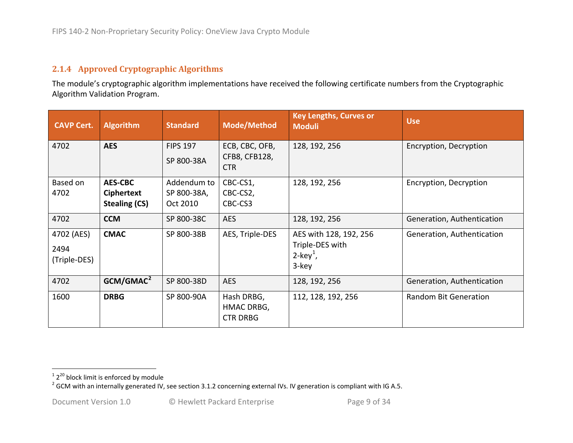#### <span id="page-8-2"></span><span id="page-8-1"></span>**2.1.4 Approved Cryptographic Algorithms**

The module's cryptographic algorithm implementations have received the following certificate numbers from the Cryptographic Algorithm Validation Program.

<span id="page-8-0"></span>

| <b>CAVP Cert.</b>                  | <b>Algorithm</b>                                            | <b>Standard</b>                        | <b>Mode/Method</b>                            | <b>Key Lengths, Curves or</b><br><b>Moduli</b>                                | <b>Use</b>                 |
|------------------------------------|-------------------------------------------------------------|----------------------------------------|-----------------------------------------------|-------------------------------------------------------------------------------|----------------------------|
| 4702                               | <b>AES</b>                                                  | <b>FIPS 197</b><br>SP 800-38A          | ECB, CBC, OFB,<br>CFB8, CFB128,<br><b>CTR</b> | 128, 192, 256                                                                 | Encryption, Decryption     |
| Based on<br>4702                   | <b>AES-CBC</b><br><b>Ciphertext</b><br><b>Stealing (CS)</b> | Addendum to<br>SP 800-38A,<br>Oct 2010 | CBC-CS1,<br>CBC-CS2,<br>CBC-CS3               | 128, 192, 256                                                                 | Encryption, Decryption     |
| 4702                               | <b>CCM</b>                                                  | SP 800-38C                             | <b>AES</b>                                    | 128, 192, 256                                                                 | Generation, Authentication |
| 4702 (AES)<br>2494<br>(Triple-DES) | <b>CMAC</b>                                                 | SP 800-38B                             | AES, Triple-DES                               | AES with 128, 192, 256<br>Triple-DES with<br>$2$ -key <sup>1</sup> ,<br>3-key | Generation, Authentication |
| 4702                               | GCM/GMAC <sup>2</sup>                                       | SP 800-38D                             | <b>AES</b>                                    | 128, 192, 256                                                                 | Generation, Authentication |
| 1600                               | <b>DRBG</b>                                                 | SP 800-90A                             | Hash DRBG,<br>HMAC DRBG,<br><b>CTR DRBG</b>   | 112, 128, 192, 256                                                            | Random Bit Generation      |

<sup>&</sup>lt;sup>1</sup> 2<sup>20</sup> block limit is enforced by module<br><sup>2</sup> GCM with an internally generated IV, see section [3.1.2](#page-29-4) concerning external IVs. IV generation is compliant with IG A.5.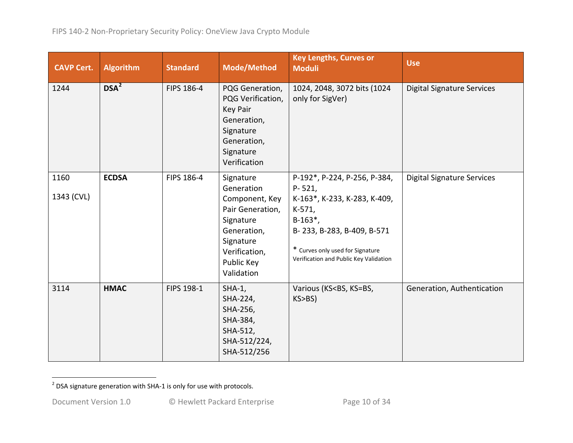<span id="page-9-0"></span>

| <b>CAVP Cert.</b>  | <b>Algorithm</b> | <b>Standard</b> | <b>Mode/Method</b>                                                                                                                                  | <b>Key Lengths, Curves or</b><br><b>Moduli</b>                                                                                                                                                                            | <b>Use</b>                        |
|--------------------|------------------|-----------------|-----------------------------------------------------------------------------------------------------------------------------------------------------|---------------------------------------------------------------------------------------------------------------------------------------------------------------------------------------------------------------------------|-----------------------------------|
| 1244               | DSA <sup>2</sup> | FIPS 186-4      | PQG Generation,<br>PQG Verification,<br><b>Key Pair</b><br>Generation,<br>Signature<br>Generation,<br>Signature<br>Verification                     | 1024, 2048, 3072 bits (1024<br>only for SigVer)                                                                                                                                                                           | <b>Digital Signature Services</b> |
| 1160<br>1343 (CVL) | <b>ECDSA</b>     | FIPS 186-4      | Signature<br>Generation<br>Component, Key<br>Pair Generation,<br>Signature<br>Generation,<br>Signature<br>Verification,<br>Public Key<br>Validation | P-192*, P-224, P-256, P-384,<br>$P - 521$<br>K-163*, K-233, K-283, K-409,<br>K-571,<br>$B-163$ <sup>*</sup> ,<br>B-233, B-283, B-409, B-571<br>* Curves only used for Signature<br>Verification and Public Key Validation | <b>Digital Signature Services</b> |
| 3114               | <b>HMAC</b>      | FIPS 198-1      | $SHA-1,$<br>SHA-224,<br>SHA-256,<br>SHA-384,<br>SHA-512,<br>SHA-512/224,<br>SHA-512/256                                                             | Various (KS <bs, ks="BS,&lt;br">KS&gt;BS)</bs,>                                                                                                                                                                           | Generation, Authentication        |

 $2$  DSA signature generation with SHA-1 is only for use with protocols.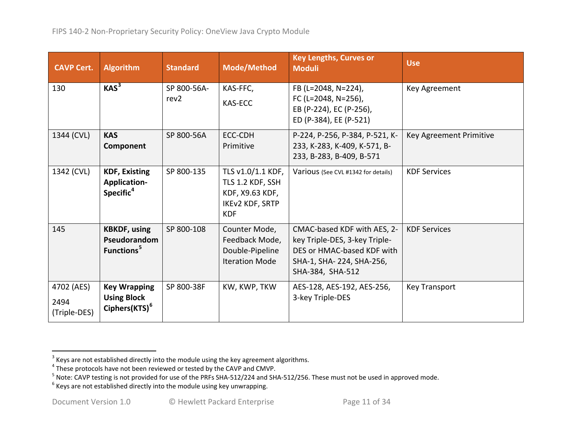<span id="page-10-3"></span><span id="page-10-2"></span><span id="page-10-1"></span><span id="page-10-0"></span>

| <b>CAVP Cert.</b>                  | <b>Algorithm</b>                                                       | <b>Standard</b>                 | <b>Mode/Method</b>                                                                               | <b>Key Lengths, Curves or</b><br><b>Moduli</b>                                                                                             | <b>Use</b>              |
|------------------------------------|------------------------------------------------------------------------|---------------------------------|--------------------------------------------------------------------------------------------------|--------------------------------------------------------------------------------------------------------------------------------------------|-------------------------|
| 130                                | KAS <sup>3</sup>                                                       | SP 800-56A-<br>rev <sub>2</sub> | KAS-FFC,<br><b>KAS-ECC</b>                                                                       | FB (L=2048, N=224),<br>FC (L=2048, N=256),<br>EB (P-224), EC (P-256),<br>ED (P-384), EE (P-521)                                            | Key Agreement           |
| 1344 (CVL)                         | <b>KAS</b><br>Component                                                | SP 800-56A                      | ECC-CDH<br>Primitive                                                                             | P-224, P-256, P-384, P-521, K-<br>233, K-283, K-409, K-571, B-<br>233, B-283, B-409, B-571                                                 | Key Agreement Primitive |
| 1342 (CVL)                         | <b>KDF, Existing</b><br><b>Application-</b><br>Specific <sup>4</sup>   | SP 800-135                      | TLS v1.0/1.1 KDF,<br>TLS 1.2 KDF, SSH<br>KDF, X9.63 KDF,<br><b>IKEv2 KDF, SRTP</b><br><b>KDF</b> | Various (See CVL #1342 for details)                                                                                                        | <b>KDF Services</b>     |
| 145                                | <b>KBKDF, using</b><br>Pseudorandom<br>Functions <sup>5</sup>          | SP 800-108                      | Counter Mode,<br>Feedback Mode,<br>Double-Pipeline<br><b>Iteration Mode</b>                      | CMAC-based KDF with AES, 2-<br>key Triple-DES, 3-key Triple-<br>DES or HMAC-based KDF with<br>SHA-1, SHA-224, SHA-256,<br>SHA-384, SHA-512 | <b>KDF Services</b>     |
| 4702 (AES)<br>2494<br>(Triple-DES) | <b>Key Wrapping</b><br><b>Using Block</b><br>Ciphers(KTS) <sup>6</sup> | SP 800-38F                      | KW, KWP, TKW                                                                                     | AES-128, AES-192, AES-256,<br>3-key Triple-DES                                                                                             | <b>Key Transport</b>    |

 $\frac{3}{4}$  Keys are not established directly into the module using the key agreement algorithms.<br> $\frac{4}{4}$  These protocols have not been reviewed or tested by the CAVP and CMVP.

<sup>&</sup>lt;sup>5</sup> Note: CAVP testing is not provided for use of the PRFs SHA-512/224 and SHA-512/256. These must not be used in approved mode.<br><sup>6</sup> Keys are not established directly into the module using key unwrapping.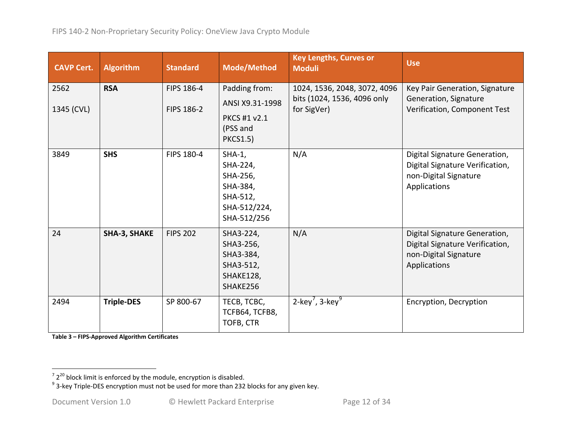<span id="page-11-1"></span><span id="page-11-0"></span>

| <b>CAVP Cert.</b>  | <b>Algorithm</b>    | <b>Standard</b>          | <b>Mode/Method</b>                                                                      | <b>Key Lengths, Curves or</b><br><b>Moduli</b>                             | <b>Use</b>                                                                                                |
|--------------------|---------------------|--------------------------|-----------------------------------------------------------------------------------------|----------------------------------------------------------------------------|-----------------------------------------------------------------------------------------------------------|
| 2562<br>1345 (CVL) | <b>RSA</b>          | FIPS 186-4<br>FIPS 186-2 | Padding from:<br>ANSI X9.31-1998<br>PKCS #1 v2.1<br>(PSS and<br><b>PKCS1.5)</b>         | 1024, 1536, 2048, 3072, 4096<br>bits (1024, 1536, 4096 only<br>for SigVer) | Key Pair Generation, Signature<br>Generation, Signature<br>Verification, Component Test                   |
| 3849               | <b>SHS</b>          | FIPS 180-4               | $SHA-1,$<br>SHA-224,<br>SHA-256,<br>SHA-384,<br>SHA-512,<br>SHA-512/224,<br>SHA-512/256 | N/A                                                                        | Digital Signature Generation,<br>Digital Signature Verification,<br>non-Digital Signature<br>Applications |
| 24                 | <b>SHA-3, SHAKE</b> | <b>FIPS 202</b>          | SHA3-224,<br>SHA3-256,<br>SHA3-384,<br>SHA3-512,<br>SHAKE128,<br>SHAKE256               | N/A                                                                        | Digital Signature Generation,<br>Digital Signature Verification,<br>non-Digital Signature<br>Applications |
| 2494               | <b>Triple-DES</b>   | SP 800-67                | TECB, TCBC,<br>TCFB64, TCFB8,<br>TOFB, CTR                                              | 2-key <sup>7</sup> , 3-key <sup>9</sup>                                    | Encryption, Decryption                                                                                    |

**Table 3 – FIPS-Approved Algorithm Certificates**

 $\frac{1}{2}$   $\frac{1}{2^{20}}$  block limit is enforced by the module, encryption is disabled.<br><sup>9</sup> 3-key Triple-DES encryption must not be used for more than 232 blocks for any given key.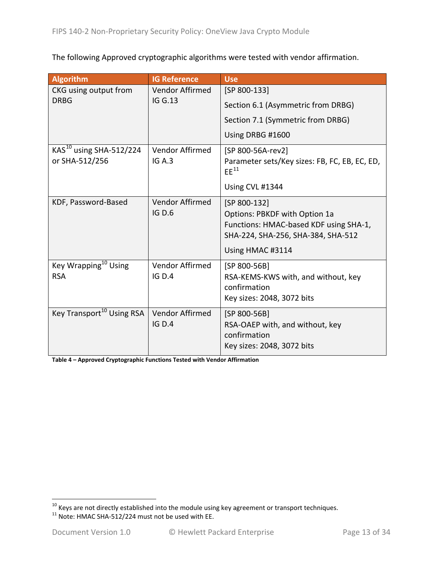The following Approved cryptographic algorithms were tested with vendor affirmation.

| <b>Algorithm</b>                                      | <b>IG Reference</b>              | <b>Use</b>                                                                                                                                        |
|-------------------------------------------------------|----------------------------------|---------------------------------------------------------------------------------------------------------------------------------------------------|
| CKG using output from                                 | Vendor Affirmed                  | [SP 800-133]                                                                                                                                      |
| <b>DRBG</b>                                           | <b>IG G.13</b>                   | Section 6.1 (Asymmetric from DRBG)                                                                                                                |
|                                                       |                                  | Section 7.1 (Symmetric from DRBG)                                                                                                                 |
|                                                       |                                  | Using DRBG #1600                                                                                                                                  |
| KAS <sup>10</sup> using SHA-512/224<br>or SHA-512/256 | Vendor Affirmed<br>IGA.3         | [SP 800-56A-rev2]<br>Parameter sets/Key sizes: FB, FC, EB, EC, ED,<br>$EE^{11}$<br>Using CVL #1344                                                |
| KDF, Password-Based                                   | Vendor Affirmed<br><b>IG D.6</b> | [SP 800-132]<br>Options: PBKDF with Option 1a<br>Functions: HMAC-based KDF using SHA-1,<br>SHA-224, SHA-256, SHA-384, SHA-512<br>Using HMAC #3114 |
| Key Wrapping <sup>10</sup> Using<br><b>RSA</b>        | Vendor Affirmed<br>IG D.4        | [SP 800-56B]<br>RSA-KEMS-KWS with, and without, key<br>confirmation<br>Key sizes: 2048, 3072 bits                                                 |
| Key Transport <sup>10</sup> Using RSA                 | Vendor Affirmed<br>IGD.4         | [SP 800-56B]<br>RSA-OAEP with, and without, key<br>confirmation<br>Key sizes: 2048, 3072 bits                                                     |

**Table 4 – Approved Cryptographic Functions Tested with Vendor Affirmation**

<span id="page-12-1"></span><span id="page-12-0"></span><sup>10</sup> Keys are not directly established into the module using key agreement or transport techniques.<br><sup>11</sup> Note: HMAC SHA-512/224 must not be used with EE.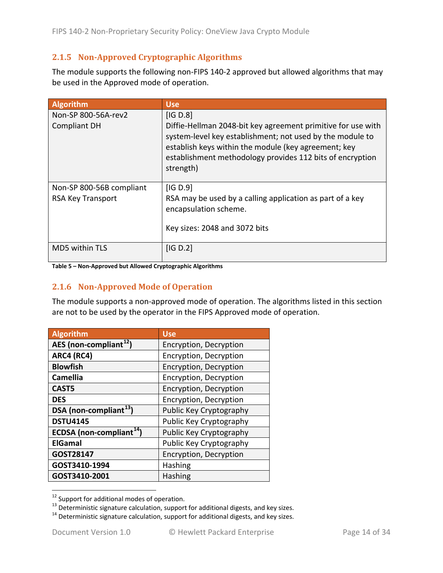#### <span id="page-13-0"></span>**2.1.5 Non-Approved Cryptographic Algorithms**

The module supports the following non-FIPS 140-2 approved but allowed algorithms that may be used in the Approved mode of operation.

| <b>Algorithm</b>                              | <b>Use</b>                                                                                                                                                                                                                                                              |
|-----------------------------------------------|-------------------------------------------------------------------------------------------------------------------------------------------------------------------------------------------------------------------------------------------------------------------------|
| Non-SP 800-56A-rev2<br><b>Compliant DH</b>    | [IG D.8]<br>Diffie-Hellman 2048-bit key agreement primitive for use with<br>system-level key establishment; not used by the module to<br>establish keys within the module (key agreement; key<br>establishment methodology provides 112 bits of encryption<br>strength) |
| Non-SP 800-56B compliant<br>RSA Key Transport | [IG D.9]<br>RSA may be used by a calling application as part of a key<br>encapsulation scheme.<br>Key sizes: 2048 and 3072 bits                                                                                                                                         |
| MD5 within TLS                                | IG D.2                                                                                                                                                                                                                                                                  |

<span id="page-13-1"></span>**Table 5 – Non-Approved but Allowed Cryptographic Algorithms**

#### **2.1.6 Non-Approved Mode of Operation**

The module supports a non-approved mode of operation. The algorithms listed in this section are not to be used by the operator in the FIPS Approved mode of operation.

| <b>Algorithm</b>                     | <b>Use</b>              |
|--------------------------------------|-------------------------|
| AES (non-compliant <sup>12</sup> )   | Encryption, Decryption  |
| ARC4 (RC4)                           | Encryption, Decryption  |
| <b>Blowfish</b>                      | Encryption, Decryption  |
| <b>Camellia</b>                      | Encryption, Decryption  |
| CAST5                                | Encryption, Decryption  |
| <b>DES</b>                           | Encryption, Decryption  |
| DSA (non-compliant <sup>13</sup> )   | Public Key Cryptography |
| <b>DSTU4145</b>                      | Public Key Cryptography |
| ECDSA (non-compliant <sup>14</sup> ) | Public Key Cryptography |
| <b>ElGamal</b>                       | Public Key Cryptography |
| GOST28147                            | Encryption, Decryption  |
| GOST3410-1994                        | <b>Hashing</b>          |
| GOST3410-2001                        | <b>Hashing</b>          |

<span id="page-13-3"></span><span id="page-13-2"></span><sup>&</sup>lt;sup>12</sup> Support for additional modes of operation.<br><sup>13</sup> Deterministic signature calculation, support for additional digests, and key sizes.<br><sup>14</sup> Deterministic signature calculation, support for additional digests, and key si

<span id="page-13-4"></span>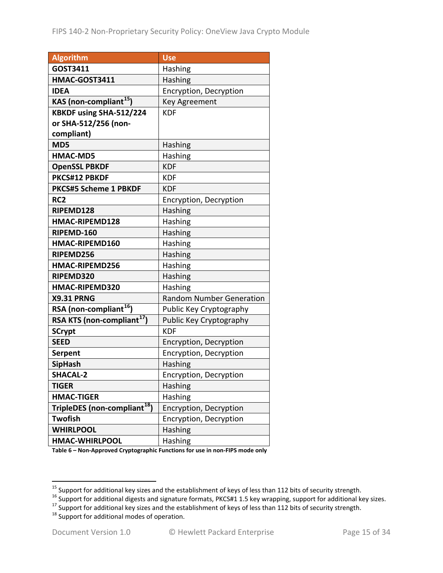| <b>Algorithm</b>                         | <b>Use</b>                      |
|------------------------------------------|---------------------------------|
| GOST3411                                 | Hashing                         |
| HMAC-GOST3411                            | Hashing                         |
| <b>IDEA</b>                              | Encryption, Decryption          |
| KAS (non-compliant <sup>15</sup> )       | <b>Key Agreement</b>            |
| KBKDF using SHA-512/224                  | <b>KDF</b>                      |
| or SHA-512/256 (non-                     |                                 |
| compliant)                               |                                 |
| MD5                                      | Hashing                         |
| <b>HMAC-MD5</b>                          | Hashing                         |
| <b>OpenSSL PBKDF</b>                     | <b>KDF</b>                      |
| PKCS#12 PBKDF                            | <b>KDF</b>                      |
| <b>PKCS#5 Scheme 1 PBKDF</b>             | <b>KDF</b>                      |
| RC <sub>2</sub>                          | Encryption, Decryption          |
| RIPEMD128                                | Hashing                         |
| HMAC-RIPEMD128                           | Hashing                         |
| RIPEMD-160                               | Hashing                         |
| HMAC-RIPEMD160                           | Hashing                         |
| RIPEMD256                                | Hashing                         |
| <b>HMAC-RIPEMD256</b>                    | Hashing                         |
| RIPEMD320                                | <b>Hashing</b>                  |
| HMAC-RIPEMD320                           | Hashing                         |
| <b>X9.31 PRNG</b>                        | <b>Random Number Generation</b> |
| RSA (non-compliant <sup>16</sup> )       | Public Key Cryptography         |
| RSA KTS (non-compliant <sup>17</sup> )   | Public Key Cryptography         |
| <b>SCrypt</b>                            | <b>KDF</b>                      |
| <b>SEED</b>                              | Encryption, Decryption          |
| Serpent                                  | Encryption, Decryption          |
| <b>SipHash</b>                           | Hashing                         |
| <b>SHACAL-2</b>                          | Encryption, Decryption          |
| <b>TIGER</b>                             | Hashing                         |
| <b>HMAC-TIGER</b>                        | Hashing                         |
| TripleDES (non-compliant <sup>18</sup> ) | Encryption, Decryption          |
| <b>Twofish</b>                           | Encryption, Decryption          |
| <b>WHIRLPOOL</b>                         | Hashing                         |
| HMAC-WHIRLPOOL                           | Hashing                         |

**Table 6 – Non-Approved Cryptographic Functions for use in non-FIPS mode only**

<span id="page-14-1"></span><span id="page-14-0"></span><sup>&</sup>lt;sup>15</sup> Support for additional key sizes and the establishment of keys of less than 112 bits of security strength.<br><sup>16</sup> Support for additional digests and signature formats, PKCS#1 1.5 key wrapping, support for additional ke

<span id="page-14-2"></span>

<span id="page-14-3"></span>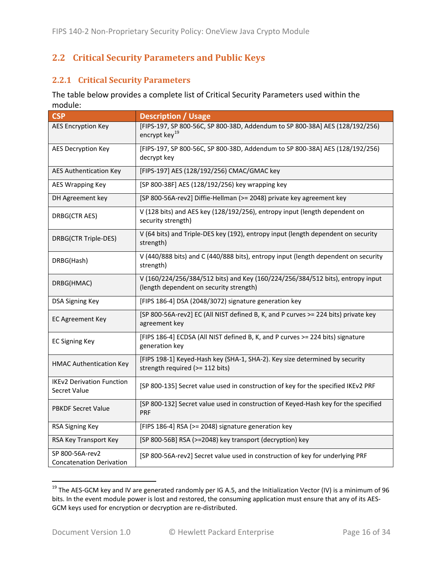#### <span id="page-15-0"></span>**2.2 Critical Security Parameters and Public Keys**

#### <span id="page-15-1"></span>**2.2.1 Critical Security Parameters**

The table below provides a complete list of Critical Security Parameters used within the module:

| <b>CSP</b>                                         | <b>Description / Usage</b>                                                                                                |
|----------------------------------------------------|---------------------------------------------------------------------------------------------------------------------------|
| <b>AES Encryption Key</b>                          | [FIPS-197, SP 800-56C, SP 800-38D, Addendum to SP 800-38A] AES (128/192/256)<br>encrypt key <sup>19</sup>                 |
| <b>AES Decryption Key</b>                          | [FIPS-197, SP 800-56C, SP 800-38D, Addendum to SP 800-38A] AES (128/192/256)<br>decrypt key                               |
| <b>AES Authentication Key</b>                      | [FIPS-197] AES (128/192/256) CMAC/GMAC key                                                                                |
| <b>AES Wrapping Key</b>                            | [SP 800-38F] AES (128/192/256) key wrapping key                                                                           |
| DH Agreement key                                   | [SP 800-56A-rev2] Diffie-Hellman (>= 2048) private key agreement key                                                      |
| DRBG(CTR AES)                                      | V (128 bits) and AES key (128/192/256), entropy input (length dependent on<br>security strength)                          |
| DRBG(CTR Triple-DES)                               | V (64 bits) and Triple-DES key (192), entropy input (length dependent on security<br>strength)                            |
| DRBG(Hash)                                         | V (440/888 bits) and C (440/888 bits), entropy input (length dependent on security<br>strength)                           |
| DRBG(HMAC)                                         | V (160/224/256/384/512 bits) and Key (160/224/256/384/512 bits), entropy input<br>(length dependent on security strength) |
| <b>DSA Signing Key</b>                             | [FIPS 186-4] DSA (2048/3072) signature generation key                                                                     |
| <b>EC Agreement Key</b>                            | [SP 800-56A-rev2] EC (All NIST defined B, K, and P curves >= 224 bits) private key<br>agreement key                       |
| <b>EC Signing Key</b>                              | [FIPS 186-4] ECDSA (All NIST defined B, K, and P curves >= 224 bits) signature<br>generation key                          |
| <b>HMAC Authentication Key</b>                     | [FIPS 198-1] Keyed-Hash key (SHA-1, SHA-2). Key size determined by security<br>strength required (>= 112 bits)            |
| <b>IKEv2 Derivation Function</b><br>Secret Value   | [SP 800-135] Secret value used in construction of key for the specified IKEv2 PRF                                         |
| <b>PBKDF Secret Value</b>                          | [SP 800-132] Secret value used in construction of Keyed-Hash key for the specified<br><b>PRF</b>                          |
| RSA Signing Key                                    | [FIPS 186-4] RSA (>= 2048) signature generation key                                                                       |
| RSA Key Transport Key                              | [SP 800-56B] RSA (>=2048) key transport (decryption) key                                                                  |
| SP 800-56A-rev2<br><b>Concatenation Derivation</b> | [SP 800-56A-rev2] Secret value used in construction of key for underlying PRF                                             |

<span id="page-15-2"></span><sup>&</sup>lt;sup>19</sup> The AES-GCM key and IV are generated randomly per IG A.5, and the Initialization Vector (IV) is a minimum of 96 bits. In the event module power is lost and restored, the consuming application must ensure that any of its AES-GCM keys used for encryption or decryption are re-distributed.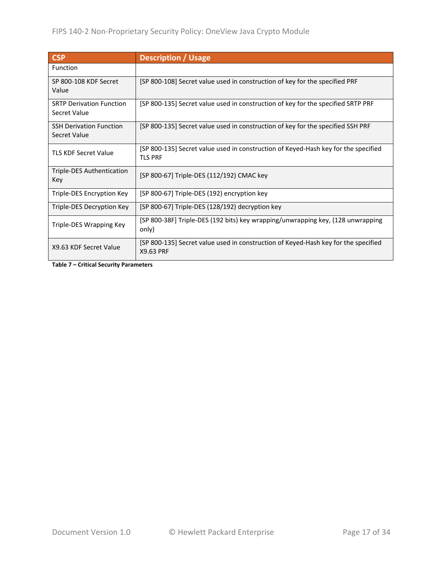| <b>CSP</b>                                            | <b>Description / Usage</b>                                                                           |
|-------------------------------------------------------|------------------------------------------------------------------------------------------------------|
| Function                                              |                                                                                                      |
| SP 800-108 KDF Secret<br>Value                        | [SP 800-108] Secret value used in construction of key for the specified PRF                          |
| <b>SRTP Derivation Function</b><br>Secret Value       | [SP 800-135] Secret value used in construction of key for the specified SRTP PRF                     |
| <b>SSH Derivation Function</b><br><b>Secret Value</b> | [SP 800-135] Secret value used in construction of key for the specified SSH PRF                      |
| <b>TLS KDF Secret Value</b>                           | [SP 800-135] Secret value used in construction of Keyed-Hash key for the specified<br><b>TLS PRF</b> |
| Triple-DES Authentication<br>Key                      | [SP 800-67] Triple-DES (112/192) CMAC key                                                            |
| Triple-DES Encryption Key                             | [SP 800-67] Triple-DES (192) encryption key                                                          |
| Triple-DES Decryption Key                             | [SP 800-67] Triple-DES (128/192) decryption key                                                      |
| Triple-DES Wrapping Key                               | [SP 800-38F] Triple-DES (192 bits) key wrapping/unwrapping key, (128 unwrapping<br>only)             |
| X9.63 KDF Secret Value                                | [SP 800-135] Secret value used in construction of Keyed-Hash key for the specified<br>X9.63 PRF      |

**Table 7 – Critical Security Parameters**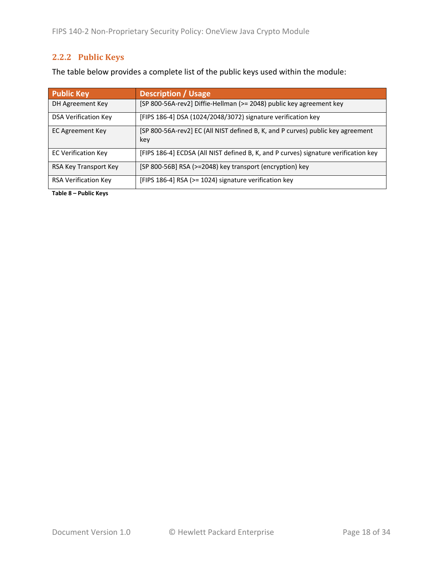#### <span id="page-17-0"></span>**2.2.2 Public Keys**

The table below provides a complete list of the public keys used within the module:

| <b>Public Key</b>           | <b>Description / Usage</b>                                                             |
|-----------------------------|----------------------------------------------------------------------------------------|
| DH Agreement Key            | [SP 800-56A-rev2] Diffie-Hellman (>= 2048) public key agreement key                    |
| <b>DSA Verification Key</b> | [FIPS 186-4] DSA (1024/2048/3072) signature verification key                           |
| EC Agreement Key            | [SP 800-56A-rev2] EC (All NIST defined B, K, and P curves) public key agreement<br>key |
| <b>EC Verification Key</b>  | [FIPS 186-4] ECDSA (All NIST defined B, K, and P curves) signature verification key    |
| RSA Key Transport Key       | [SP 800-56B] RSA (>=2048) key transport (encryption) key                               |
| <b>RSA Verification Key</b> | [FIPS 186-4] RSA (>= 1024) signature verification key                                  |

**Table 8 – Public Keys**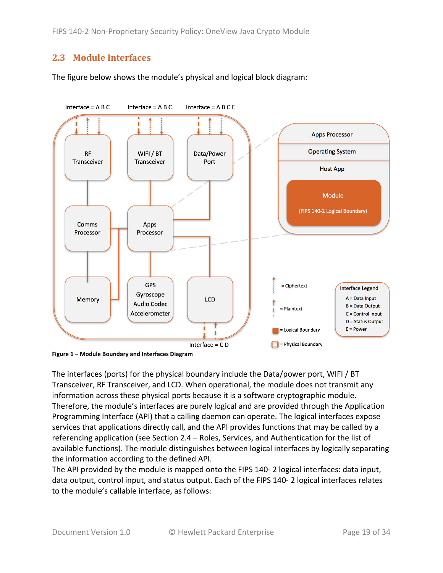#### <span id="page-18-0"></span>**2.3 Module Interfaces**

The figure below shows the module's physical and logical block diagram:



<span id="page-18-1"></span>**Figure 1 – Module Boundary and Interfaces Diagram**

The interfaces (ports) for the physical boundary include the Data/power port, WIFI / BT Transceiver, RF Transceiver, and LCD. When operational, the module does not transmit any information across these physical ports because it is a software cryptographic module. Therefore, the module's interfaces are purely logical and are provided through the Application Programming Interface (API) that a calling daemon can operate. The logical interfaces expose services that applications directly call, and the API provides functions that may be called by a referencing application (see Section [2.4](#page-19-0) – [Roles, Services, and Authentication](#page-19-0) for the list of available functions). The module distinguishes between logical interfaces by logically separating the information according to the defined API.

The API provided by the module is mapped onto the FIPS 140- 2 logical interfaces: data input, data output, control input, and status output. Each of the FIPS 140- 2 logical interfaces relates to the module's callable interface, as follows: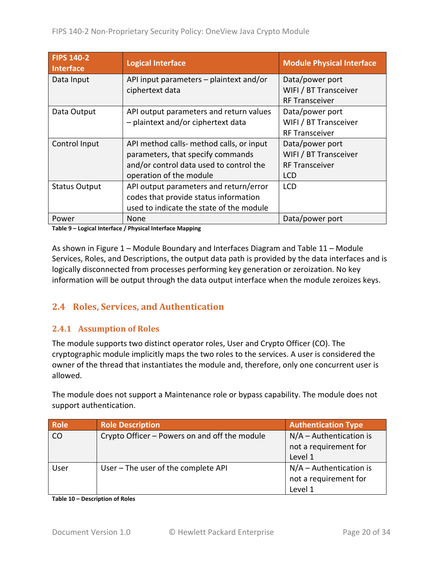| <b>FIPS 140-2</b><br><b>Interface</b> | <b>Logical Interface</b>                 | <b>Module Physical Interface</b> |
|---------------------------------------|------------------------------------------|----------------------------------|
| Data Input                            | API input parameters - plaintext and/or  | Data/power port                  |
|                                       | ciphertext data                          | WIFI / BT Transceiver            |
|                                       |                                          | <b>RF Transceiver</b>            |
| Data Output                           | API output parameters and return values  | Data/power port                  |
|                                       | - plaintext and/or ciphertext data       | WIFI / BT Transceiver            |
|                                       |                                          | <b>RF Transceiver</b>            |
| Control Input                         | API method calls- method calls, or input | Data/power port                  |
|                                       | parameters, that specify commands        | WIFI / BT Transceiver            |
|                                       | and/or control data used to control the  | <b>RF Transceiver</b>            |
|                                       | operation of the module                  | <b>LCD</b>                       |
| <b>Status Output</b>                  | API output parameters and return/error   | <b>LCD</b>                       |
|                                       | codes that provide status information    |                                  |
|                                       | used to indicate the state of the module |                                  |
| Power                                 | None                                     | Data/power port                  |

**Table 9 – Logical Interface / Physical Interface Mapping**

As shown in Figure 1 – [Module Boundary and Interfaces Diagram](#page-18-1) and [Table 11](#page-21-0) – Module Services, Roles, [and Descriptions,](#page-21-0) the output data path is provided by the data interfaces and is logically disconnected from processes performing key generation or zeroization. No key information will be output through the data output interface when the module zeroizes keys.

#### <span id="page-19-0"></span>**2.4 Roles, Services, and Authentication**

#### <span id="page-19-1"></span>**2.4.1 Assumption of Roles**

The module supports two distinct operator roles, User and Crypto Officer (CO). The cryptographic module implicitly maps the two roles to the services. A user is considered the owner of the thread that instantiates the module and, therefore, only one concurrent user is allowed.

The module does not support a Maintenance role or bypass capability. The module does not support authentication.

| <b>Role</b> | <b>Role Description</b>                       | <b>Authentication Type</b> |
|-------------|-----------------------------------------------|----------------------------|
| CO          | Crypto Officer – Powers on and off the module | $N/A -$ Authentication is  |
|             |                                               | not a requirement for      |
|             |                                               | Level 1                    |
| User        | User - The user of the complete API           | $N/A -$ Authentication is  |
|             |                                               | not a requirement for      |
|             |                                               | Level 1                    |

**Table 10 – Description of Roles**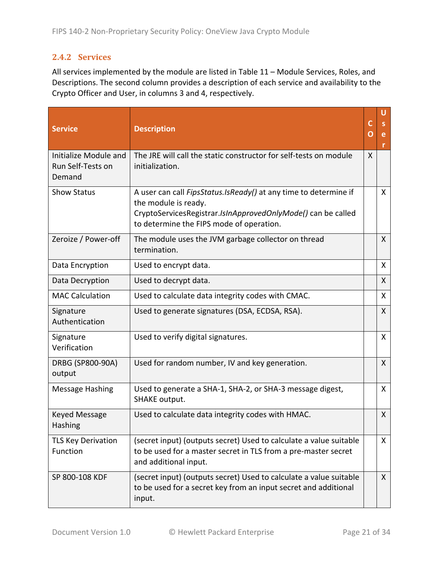#### <span id="page-20-0"></span>**2.4.2 Services**

All services implemented by the module are listed in Table 11 – Module [Services, Roles,](#page-21-0) and [Descriptions.](#page-21-0) The second column provides a description of each service and availability to the Crypto Officer and User, in columns 3 and 4, respectively.

| <b>Service</b>                                       | <b>Description</b>                                                                                                                                                                                          | C<br>O | e<br>r       |
|------------------------------------------------------|-------------------------------------------------------------------------------------------------------------------------------------------------------------------------------------------------------------|--------|--------------|
| Initialize Module and<br>Run Self-Tests on<br>Demand | The JRE will call the static constructor for self-tests on module<br>initialization.                                                                                                                        | X      |              |
| <b>Show Status</b>                                   | A user can call <i>FipsStatus.IsReady()</i> at any time to determine if<br>the module is ready.<br>CryptoServicesRegistrar.IsInApprovedOnlyMode() can be called<br>to determine the FIPS mode of operation. |        | X.           |
| Zeroize / Power-off                                  | The module uses the JVM garbage collector on thread<br>termination.                                                                                                                                         |        | $\mathsf{X}$ |
| Data Encryption                                      | Used to encrypt data.                                                                                                                                                                                       |        | X            |
| Data Decryption                                      | Used to decrypt data.                                                                                                                                                                                       |        | $\mathsf{X}$ |
| <b>MAC Calculation</b>                               | Used to calculate data integrity codes with CMAC.                                                                                                                                                           |        | X            |
| Signature<br>Authentication                          | Used to generate signatures (DSA, ECDSA, RSA).                                                                                                                                                              |        | X.           |
| Signature<br>Verification                            | Used to verify digital signatures.                                                                                                                                                                          |        | X            |
| DRBG (SP800-90A)<br>output                           | Used for random number, IV and key generation.                                                                                                                                                              |        | X.           |
| <b>Message Hashing</b>                               | Used to generate a SHA-1, SHA-2, or SHA-3 message digest,<br>SHAKE output.                                                                                                                                  |        | X.           |
| Keyed Message<br>Hashing                             | Used to calculate data integrity codes with HMAC.                                                                                                                                                           |        | X.           |
| <b>TLS Key Derivation</b><br>Function                | (secret input) (outputs secret) Used to calculate a value suitable<br>to be used for a master secret in TLS from a pre-master secret<br>and additional input.                                               |        | $\mathsf{X}$ |
| SP 800-108 KDF                                       | (secret input) (outputs secret) Used to calculate a value suitable<br>to be used for a secret key from an input secret and additional<br>input.                                                             |        | X            |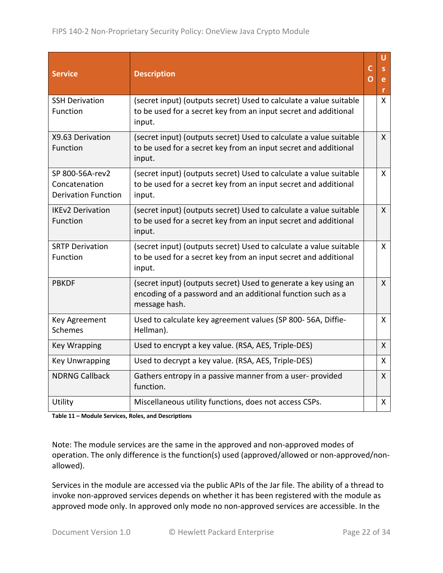| <b>Service</b>                                                 | <b>Description</b>                                                                                                                              | C<br>O | U<br>S.<br>e<br>r |
|----------------------------------------------------------------|-------------------------------------------------------------------------------------------------------------------------------------------------|--------|-------------------|
| <b>SSH Derivation</b><br>Function                              | (secret input) (outputs secret) Used to calculate a value suitable<br>to be used for a secret key from an input secret and additional<br>input. |        | $\mathsf{X}$      |
| X9.63 Derivation<br>Function                                   | (secret input) (outputs secret) Used to calculate a value suitable<br>to be used for a secret key from an input secret and additional<br>input. |        | X                 |
| SP 800-56A-rev2<br>Concatenation<br><b>Derivation Function</b> | (secret input) (outputs secret) Used to calculate a value suitable<br>to be used for a secret key from an input secret and additional<br>input. |        | $\mathsf{X}$      |
| <b>IKEv2 Derivation</b><br>Function                            | (secret input) (outputs secret) Used to calculate a value suitable<br>to be used for a secret key from an input secret and additional<br>input. |        | $\mathsf{X}$      |
| <b>SRTP Derivation</b><br>Function                             | (secret input) (outputs secret) Used to calculate a value suitable<br>to be used for a secret key from an input secret and additional<br>input. |        | $\mathsf{X}$      |
| <b>PBKDF</b>                                                   | (secret input) (outputs secret) Used to generate a key using an<br>encoding of a password and an additional function such as a<br>message hash. |        | $\mathsf{X}$      |
| Key Agreement<br>Schemes                                       | Used to calculate key agreement values (SP 800-56A, Diffie-<br>Hellman).                                                                        |        | X                 |
| <b>Key Wrapping</b>                                            | Used to encrypt a key value. (RSA, AES, Triple-DES)                                                                                             |        | $\mathsf{X}$      |
| <b>Key Unwrapping</b>                                          | Used to decrypt a key value. (RSA, AES, Triple-DES)                                                                                             |        | $\mathsf{X}$      |
| <b>NDRNG Callback</b>                                          | Gathers entropy in a passive manner from a user-provided<br>function.                                                                           |        | $\mathsf{X}$      |
| Utility                                                        | Miscellaneous utility functions, does not access CSPs.                                                                                          |        | X                 |

<span id="page-21-0"></span>**Table 11 – Module Services, Roles, and Descriptions**

Note: The module services are the same in the approved and non-approved modes of operation. The only difference is the function(s) used (approved/allowed or non-approved/nonallowed).

Services in the module are accessed via the public APIs of the Jar file. The ability of a thread to invoke non-approved services depends on whether it has been registered with the module as approved mode only. In approved only mode no non-approved services are accessible. In the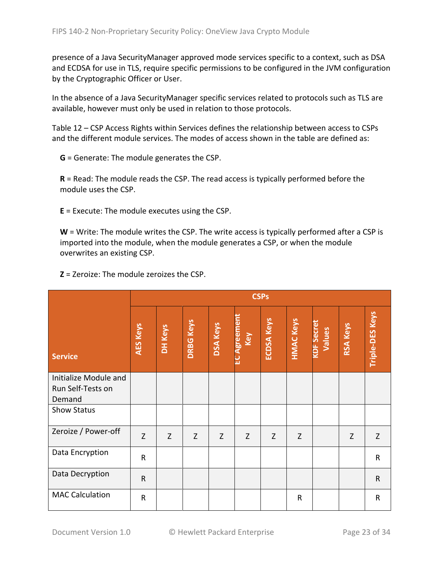presence of a Java SecurityManager approved mode services specific to a context, such as DSA and ECDSA for use in TLS, require specific permissions to be configured in the JVM configuration by the Cryptographic Officer or User.

In the absence of a Java SecurityManager specific services related to protocols such as TLS are available, however must only be used in relation to those protocols.

Table 12 – [CSP Access Rights within Services](#page-24-2) defines the relationship between access to CSPs and the different module services. The modes of access shown in the table are defined as:

**G** = Generate: The module generates the CSP.

**R** = Read: The module reads the CSP. The read access is typically performed before the module uses the CSP.

**E** = Execute: The module executes using the CSP.

**W** = Write: The module writes the CSP. The write access is typically performed after a CSP is imported into the module, when the module generates a CSP, or when the module overwrites an existing CSP.

**Z** = Zeroize: The module zeroizes the CSP.

|                                                      |                 | <b>CSPs</b> |                  |                 |                           |                   |                  |                             |                 |                 |
|------------------------------------------------------|-----------------|-------------|------------------|-----------------|---------------------------|-------------------|------------------|-----------------------------|-----------------|-----------------|
| <b>Service</b>                                       | <b>AES Keys</b> | DH Keys     | <b>DRBG Keys</b> | <b>DSA Keys</b> | <b>EC Agreemen</b><br>Key | <b>ECDSA Keys</b> | <b>HMAC Keys</b> | <b>CDF Secret</b><br>Values | <b>RSA Keys</b> | Triple-DES Keys |
| Initialize Module and<br>Run Self-Tests on<br>Demand |                 |             |                  |                 |                           |                   |                  |                             |                 |                 |
| <b>Show Status</b>                                   |                 |             |                  |                 |                           |                   |                  |                             |                 |                 |
| Zeroize / Power-off                                  | Z               | Z           | Z                | Z               | Z                         | Z                 | Z                |                             | Z               | Z               |
| Data Encryption                                      | $\mathsf{R}$    |             |                  |                 |                           |                   |                  |                             |                 | ${\sf R}$       |
| Data Decryption                                      | $\mathsf{R}$    |             |                  |                 |                           |                   |                  |                             |                 | $\mathsf{R}$    |
| <b>MAC Calculation</b>                               | $\mathsf{R}$    |             |                  |                 |                           |                   | $\mathsf{R}$     |                             |                 | $\mathsf R$     |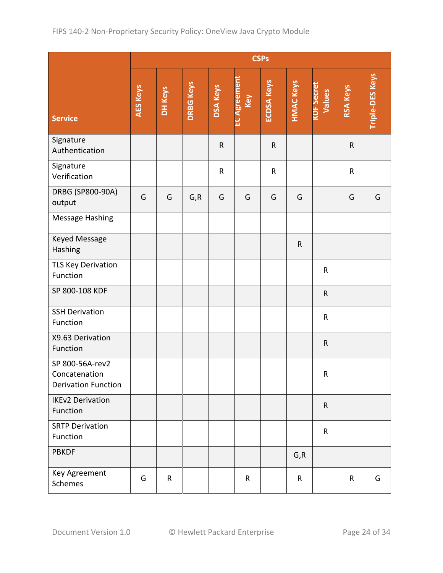|                                                                |                 | <b>CSPs</b> |                  |                 |                     |                   |                  |                             |             |                        |
|----------------------------------------------------------------|-----------------|-------------|------------------|-----------------|---------------------|-------------------|------------------|-----------------------------|-------------|------------------------|
| <b>Service</b>                                                 | <b>AES Keys</b> | DH Keys     | <b>DRBG Keys</b> | <b>DSA Keys</b> | EC Agreement<br>Key | <b>ECDSA Keys</b> | <b>HMAC Keys</b> | <b>KDF Secret</b><br>Values | RSA Keys    | <b>Triple-DES Keys</b> |
| Signature<br>Authentication                                    |                 |             |                  | $\mathsf R$     |                     | $\mathsf R$       |                  |                             | $\mathsf R$ |                        |
| Signature<br>Verification                                      |                 |             |                  | ${\sf R}$       |                     | ${\sf R}$         |                  |                             | ${\sf R}$   |                        |
| DRBG (SP800-90A)<br>output                                     | G               | G           | G, R             | G               | G                   | G                 | G                |                             | G           | G                      |
| Message Hashing                                                |                 |             |                  |                 |                     |                   |                  |                             |             |                        |
| Keyed Message<br>Hashing                                       |                 |             |                  |                 |                     |                   | $\mathsf R$      |                             |             |                        |
| TLS Key Derivation<br>Function                                 |                 |             |                  |                 |                     |                   |                  | ${\sf R}$                   |             |                        |
| SP 800-108 KDF                                                 |                 |             |                  |                 |                     |                   |                  | ${\sf R}$                   |             |                        |
| <b>SSH Derivation</b><br>Function                              |                 |             |                  |                 |                     |                   |                  | ${\sf R}$                   |             |                        |
| X9.63 Derivation<br>Function                                   |                 |             |                  |                 |                     |                   |                  | ${\sf R}$                   |             |                        |
| SP 800-56A-rev2<br>Concatenation<br><b>Derivation Function</b> |                 |             |                  |                 |                     |                   |                  | ${\sf R}$                   |             |                        |
| <b>IKEv2 Derivation</b><br>Function                            |                 |             |                  |                 |                     |                   |                  | $\mathsf{R}$                |             |                        |
| <b>SRTP Derivation</b><br>Function                             |                 |             |                  |                 |                     |                   |                  | $\mathsf R$                 |             |                        |
| <b>PBKDF</b>                                                   |                 |             |                  |                 |                     |                   | G, R             |                             |             |                        |
| Key Agreement<br>Schemes                                       | G               | $\mathsf R$ |                  |                 | $\mathsf R$         |                   | $\mathsf{R}$     |                             | $\mathsf R$ | G                      |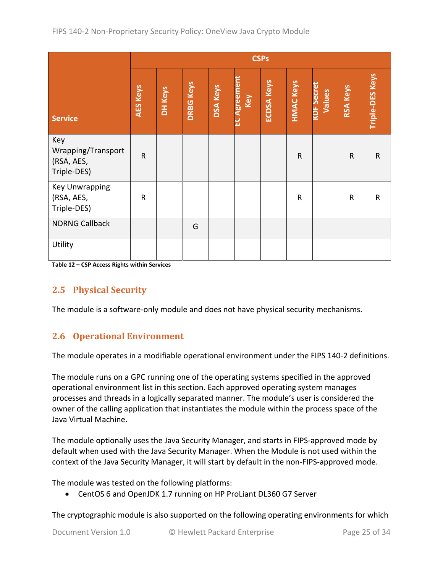|                                                        |                 | <b>CSPs</b> |                  |                 |                           |                   |                  |                             |                 |                 |
|--------------------------------------------------------|-----------------|-------------|------------------|-----------------|---------------------------|-------------------|------------------|-----------------------------|-----------------|-----------------|
| <b>Service</b>                                         | <b>AES Keys</b> | DH Keys     | <b>DRBG Keys</b> | <b>DSA Keys</b> | <b>EC Agreemen</b><br>Key | <b>ECDSA Keys</b> | <b>HMAC Keys</b> | <b>KDF Secret</b><br>Values | <b>RSA Keys</b> | Triple-DES Keys |
| Key<br>Wrapping/Transport<br>(RSA, AES,<br>Triple-DES) | $\mathsf{R}$    |             |                  |                 |                           |                   | $\mathsf{R}$     |                             | ${\sf R}$       | ${\sf R}$       |
| <b>Key Unwrapping</b><br>(RSA, AES,<br>Triple-DES)     | $\mathsf{R}$    |             |                  |                 |                           |                   | $\mathsf{R}$     |                             | R               | ${\sf R}$       |
| <b>NDRNG Callback</b>                                  |                 |             | G                |                 |                           |                   |                  |                             |                 |                 |
| Utility                                                |                 |             |                  |                 |                           |                   |                  |                             |                 |                 |

<span id="page-24-2"></span><span id="page-24-0"></span>**Table 12 – CSP Access Rights within Services**

#### **2.5 Physical Security**

<span id="page-24-1"></span>The module is a software-only module and does not have physical security mechanisms.

#### **2.6 Operational Environment**

The module operates in a modifiable operational environment under the FIPS 140-2 definitions.

The module runs on a GPC running one of the operating systems specified in the approved operational environment list in this section. Each approved operating system manages processes and threads in a logically separated manner. The module's user is considered the owner of the calling application that instantiates the module within the process space of the Java Virtual Machine.

The module optionally uses the Java Security Manager, and starts in FIPS-approved mode by default when used with the Java Security Manager. When the Module is not used within the context of the Java Security Manager, it will start by default in the non-FIPS-approved mode.

The module was tested on the following platforms:

• CentOS 6 and OpenJDK 1.7 running on HP ProLiant DL360 G7 Server

The cryptographic module is also supported on the following operating environments for which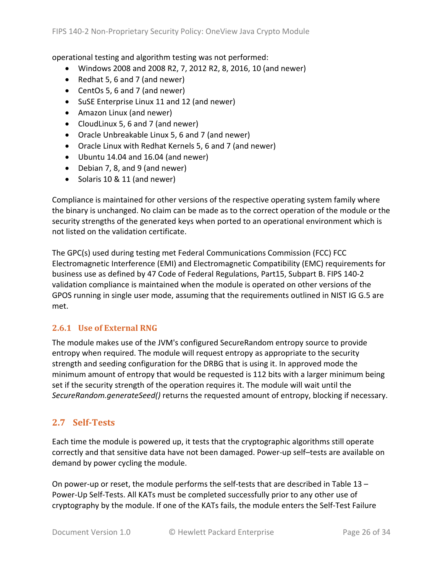operational testing and algorithm testing was not performed:

- Windows 2008 and 2008 R2, 7, 2012 R2, 8, 2016, 10 (and newer)
- Redhat 5, 6 and 7 (and newer)
- CentOs 5, 6 and 7 (and newer)
- SuSE Enterprise Linux 11 and 12 (and newer)
- Amazon Linux (and newer)
- CloudLinux 5, 6 and 7 (and newer)
- Oracle Unbreakable Linux 5, 6 and 7 (and newer)
- Oracle Linux with Redhat Kernels 5, 6 and 7 (and newer)
- Ubuntu 14.04 and 16.04 (and newer)
- Debian 7, 8, and 9 (and newer)
- Solaris 10 & 11 (and newer)

Compliance is maintained for other versions of the respective operating system family where the binary is unchanged. No claim can be made as to the correct operation of the module or the security strengths of the generated keys when ported to an operational environment which is not listed on the validation certificate.

The GPC(s) used during testing met Federal Communications Commission (FCC) FCC Electromagnetic Interference (EMI) and Electromagnetic Compatibility (EMC) requirements for business use as defined by 47 Code of Federal Regulations, Part15, Subpart B. FIPS 140-2 validation compliance is maintained when the module is operated on other versions of the GPOS running in single user mode, assuming that the requirements outlined in NIST IG G.5 are met.

#### <span id="page-25-0"></span>**2.6.1 Use of External RNG**

The module makes use of the JVM's configured SecureRandom entropy source to provide entropy when required. The module will request entropy as appropriate to the security strength and seeding configuration for the DRBG that is using it. In approved mode the minimum amount of entropy that would be requested is 112 bits with a larger minimum being set if the security strength of the operation requires it. The module will wait until the *SecureRandom.generateSeed()* returns the requested amount of entropy, blocking if necessary.

#### <span id="page-25-1"></span>**2.7 Self-Tests**

Each time the module is powered up, it tests that the cryptographic algorithms still operate correctly and that sensitive data have not been damaged. Power-up self–tests are available on demand by power cycling the module.

On power-up or reset, the module performs the self-tests that are described in [Table 13](#page-27-2) – [Power-Up Self-Tests.](#page-27-2) All KATs must be completed successfully prior to any other use of cryptography by the module. If one of the KATs fails, the module enters the Self-Test Failure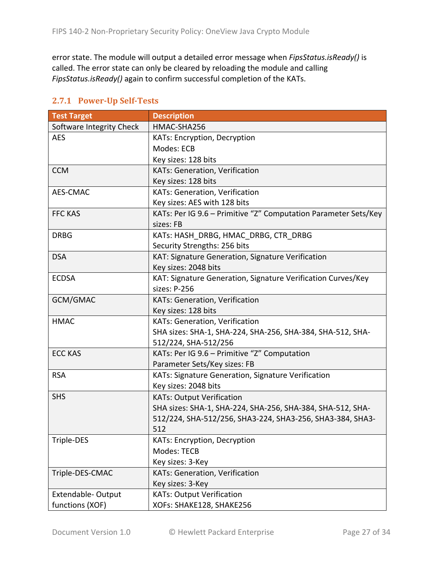error state. The module will output a detailed error message when *FipsStatus.isReady()* is called. The error state can only be cleared by reloading the module and calling *FipsStatus.isReady()* again to confirm successful completion of the KATs.

| <b>Test Target</b>       | <b>Description</b>                                              |
|--------------------------|-----------------------------------------------------------------|
| Software Integrity Check | HMAC-SHA256                                                     |
| <b>AES</b>               | KATs: Encryption, Decryption                                    |
|                          | Modes: ECB                                                      |
|                          | Key sizes: 128 bits                                             |
| <b>CCM</b>               | KATs: Generation, Verification                                  |
|                          | Key sizes: 128 bits                                             |
| AES-CMAC                 | KATs: Generation, Verification                                  |
|                          | Key sizes: AES with 128 bits                                    |
| <b>FFC KAS</b>           | KATs: Per IG 9.6 - Primitive "Z" Computation Parameter Sets/Key |
|                          | sizes: FB                                                       |
| <b>DRBG</b>              | KATs: HASH DRBG, HMAC DRBG, CTR DRBG                            |
|                          | Security Strengths: 256 bits                                    |
| <b>DSA</b>               | KAT: Signature Generation, Signature Verification               |
|                          | Key sizes: 2048 bits                                            |
| <b>ECDSA</b>             | KAT: Signature Generation, Signature Verification Curves/Key    |
|                          | sizes: P-256                                                    |
| GCM/GMAC                 | KATs: Generation, Verification                                  |
|                          | Key sizes: 128 bits                                             |
| <b>HMAC</b>              | KATs: Generation, Verification                                  |
|                          | SHA sizes: SHA-1, SHA-224, SHA-256, SHA-384, SHA-512, SHA-      |
|                          | 512/224, SHA-512/256                                            |
| <b>ECC KAS</b>           | KATs: Per IG 9.6 - Primitive "Z" Computation                    |
|                          | Parameter Sets/Key sizes: FB                                    |
| <b>RSA</b>               | KATs: Signature Generation, Signature Verification              |
|                          | Key sizes: 2048 bits                                            |
| <b>SHS</b>               | <b>KATs: Output Verification</b>                                |
|                          | SHA sizes: SHA-1, SHA-224, SHA-256, SHA-384, SHA-512, SHA-      |
|                          | 512/224, SHA-512/256, SHA3-224, SHA3-256, SHA3-384, SHA3-       |
|                          | 512                                                             |
| Triple-DES               | KATs: Encryption, Decryption                                    |
|                          | Modes: TECB                                                     |
|                          | Key sizes: 3-Key                                                |
| Triple-DES-CMAC          | KATs: Generation, Verification                                  |
|                          | Key sizes: 3-Key                                                |
| Extendable-Output        | <b>KATs: Output Verification</b>                                |
| functions (XOF)          | XOFs: SHAKE128, SHAKE256                                        |

#### <span id="page-26-0"></span>**2.7.1 Power-Up Self-Tests**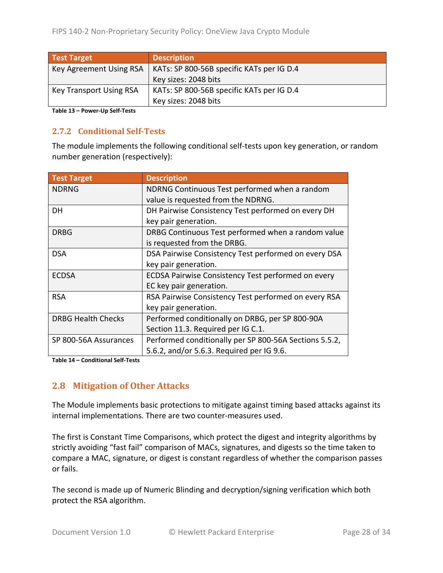| <b>Test Target</b>             | <b>Description</b>                        |
|--------------------------------|-------------------------------------------|
| Key Agreement Using RSA        | KATs: SP 800-56B specific KATs per IG D.4 |
|                                | Key sizes: 2048 bits                      |
| <b>Key Transport Using RSA</b> | KATs: SP 800-56B specific KATs per IG D.4 |
|                                | Key sizes: 2048 bits                      |

<span id="page-27-2"></span><span id="page-27-0"></span>**Table 13 – Power-Up Self-Tests**

#### **2.7.2 Conditional Self-Tests**

The module implements the following conditional self-tests upon key generation, or random number generation (respectively):

| <b>Test Target</b>        | <b>Description</b>                                        |
|---------------------------|-----------------------------------------------------------|
| <b>NDRNG</b>              | NDRNG Continuous Test performed when a random             |
|                           | value is requested from the NDRNG.                        |
| DH                        | DH Pairwise Consistency Test performed on every DH        |
|                           | key pair generation.                                      |
| <b>DRBG</b>               | DRBG Continuous Test performed when a random value        |
|                           | is requested from the DRBG.                               |
| <b>DSA</b>                | DSA Pairwise Consistency Test performed on every DSA      |
|                           | key pair generation.                                      |
| <b>ECDSA</b>              | <b>ECDSA Pairwise Consistency Test performed on every</b> |
|                           | EC key pair generation.                                   |
| <b>RSA</b>                | RSA Pairwise Consistency Test performed on every RSA      |
|                           | key pair generation.                                      |
| <b>DRBG Health Checks</b> | Performed conditionally on DRBG, per SP 800-90A           |
|                           | Section 11.3. Required per IG C.1.                        |
| SP 800-56A Assurances     | Performed conditionally per SP 800-56A Sections 5.5.2,    |
|                           | 5.6.2, and/or 5.6.3. Required per IG 9.6.                 |

<span id="page-27-1"></span>**Table 14 – Conditional Self-Tests**

#### **2.8 Mitigation of Other Attacks**

The Module implements basic protections to mitigate against timing based attacks against its internal implementations. There are two counter-measures used.

The first is Constant Time Comparisons, which protect the digest and integrity algorithms by strictly avoiding "fast fail" comparison of MACs, signatures, and digests so the time taken to compare a MAC, signature, or digest is constant regardless of whether the comparison passes or fails.

The second is made up of Numeric Blinding and decryption/signing verification which both protect the RSA algorithm.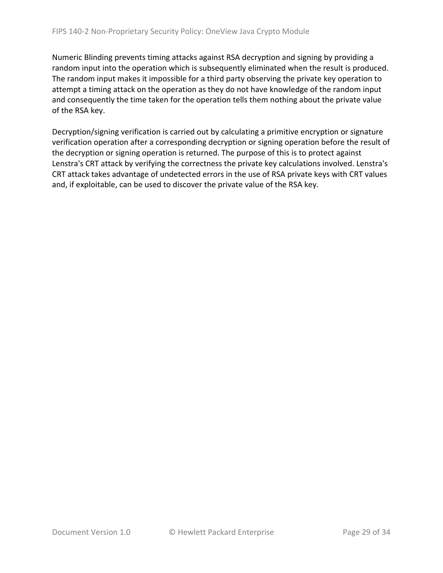Numeric Blinding prevents timing attacks against RSA decryption and signing by providing a random input into the operation which is subsequently eliminated when the result is produced. The random input makes it impossible for a third party observing the private key operation to attempt a timing attack on the operation as they do not have knowledge of the random input and consequently the time taken for the operation tells them nothing about the private value of the RSA key.

Decryption/signing verification is carried out by calculating a primitive encryption or signature verification operation after a corresponding decryption or signing operation before the result of the decryption or signing operation is returned. The purpose of this is to protect against Lenstra's CRT attack by verifying the correctness the private key calculations involved. Lenstra's CRT attack takes advantage of undetected errors in the use of RSA private keys with CRT values and, if exploitable, can be used to discover the private value of the RSA key.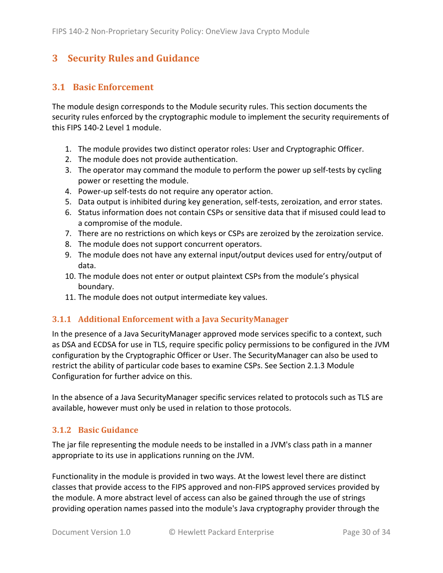### <span id="page-29-0"></span>**3 Security Rules and Guidance**

#### <span id="page-29-1"></span>**3.1 Basic Enforcement**

The module design corresponds to the Module security rules. This section documents the security rules enforced by the cryptographic module to implement the security requirements of this FIPS 140-2 Level 1 module.

- 1. The module provides two distinct operator roles: User and Cryptographic Officer.
- 2. The module does not provide authentication.
- 3. The operator may command the module to perform the power up self-tests by cycling power or resetting the module.
- 4. Power-up self-tests do not require any operator action.
- 5. Data output is inhibited during key generation, self-tests, zeroization, and error states.
- 6. Status information does not contain CSPs or sensitive data that if misused could lead to a compromise of the module.
- 7. There are no restrictions on which keys or CSPs are zeroized by the zeroization service.
- 8. The module does not support concurrent operators.
- 9. The module does not have any external input/output devices used for entry/output of data.
- 10. The module does not enter or output plaintext CSPs from the module's physical boundary.
- <span id="page-29-4"></span>11. The module does not output intermediate key values.

#### <span id="page-29-2"></span>**3.1.1 Additional Enforcement with a Java SecurityManager**

In the presence of a Java SecurityManager approved mode services specific to a context, such as DSA and ECDSA for use in TLS, require specific policy permissions to be configured in the JVM configuration by the Cryptographic Officer or User. The SecurityManager can also be used to restrict the ability of particular code bases to examine CSPs. See Section [2.1.3](#page-6-0) Module Configuration for further advice on this.

In the absence of a Java SecurityManager specific services related to protocols such as TLS are available, however must only be used in relation to those protocols.

#### <span id="page-29-3"></span>**3.1.2 Basic Guidance**

The jar file representing the module needs to be installed in a JVM's class path in a manner appropriate to its use in applications running on the JVM.

Functionality in the module is provided in two ways. At the lowest level there are distinct classes that provide access to the FIPS approved and non-FIPS approved services provided by the module. A more abstract level of access can also be gained through the use of strings providing operation names passed into the module's Java cryptography provider through the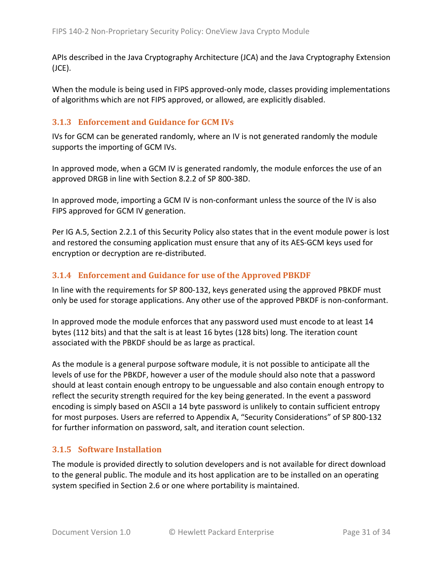APIs described in the Java Cryptography Architecture (JCA) and the Java Cryptography Extension (JCE).

When the module is being used in FIPS approved-only mode, classes providing implementations of algorithms which are not FIPS approved, or allowed, are explicitly disabled.

#### <span id="page-30-0"></span>**3.1.3 Enforcement and Guidance for GCM IVs**

IVs for GCM can be generated randomly, where an IV is not generated randomly the module supports the importing of GCM IVs.

In approved mode, when a GCM IV is generated randomly, the module enforces the use of an approved DRGB in line with Section 8.2.2 of SP 800-38D.

In approved mode, importing a GCM IV is non-conformant unless the source of the IV is also FIPS approved for GCM IV generation.

Per IG A.5, Section [2.2.1](#page-15-1) of this Security Policy also states that in the event module power is lost and restored the consuming application must ensure that any of its AES-GCM keys used for encryption or decryption are re-distributed.

#### <span id="page-30-1"></span>**3.1.4 Enforcement and Guidance for use of the Approved PBKDF**

In line with the requirements for SP 800-132, keys generated using the approved PBKDF must only be used for storage applications. Any other use of the approved PBKDF is non-conformant.

In approved mode the module enforces that any password used must encode to at least 14 bytes (112 bits) and that the salt is at least 16 bytes (128 bits) long. The iteration count associated with the PBKDF should be as large as practical.

As the module is a general purpose software module, it is not possible to anticipate all the levels of use for the PBKDF, however a user of the module should also note that a password should at least contain enough entropy to be unguessable and also contain enough entropy to reflect the security strength required for the key being generated. In the event a password encoding is simply based on ASCII a 14 byte password is unlikely to contain sufficient entropy for most purposes. Users are referred to Appendix A, "Security Considerations" of SP 800-132 for further information on password, salt, and iteration count selection.

#### <span id="page-30-2"></span>**3.1.5 Software Installation**

The module is provided directly to solution developers and is not available for direct download to the general public. The module and its host application are to be installed on an operating system specified in Section [2.6](#page-24-1) or one where portability is maintained.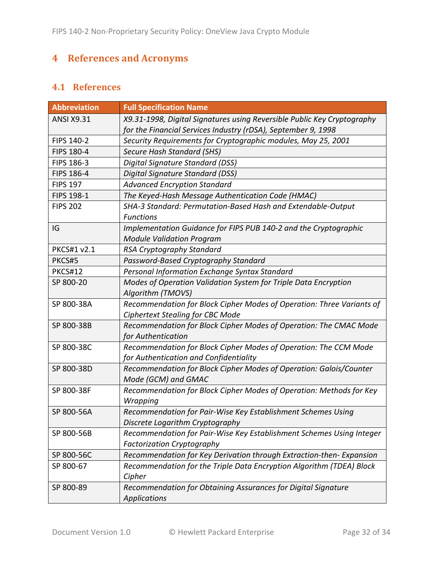# <span id="page-31-0"></span>**4 References and Acronyms**

#### <span id="page-31-1"></span>**4.1 References**

| <b>Abbreviation</b> | <b>Full Specification Name</b>                                                                                                           |
|---------------------|------------------------------------------------------------------------------------------------------------------------------------------|
| <b>ANSI X9.31</b>   | X9.31-1998, Digital Signatures using Reversible Public Key Cryptography<br>for the Financial Services Industry (rDSA), September 9, 1998 |
| FIPS 140-2          | Security Requirements for Cryptographic modules, May 25, 2001                                                                            |
| <b>FIPS 180-4</b>   | Secure Hash Standard (SHS)                                                                                                               |
| FIPS 186-3          | Digital Signature Standard (DSS)                                                                                                         |
| FIPS 186-4          | Digital Signature Standard (DSS)                                                                                                         |
| <b>FIPS 197</b>     | <b>Advanced Encryption Standard</b>                                                                                                      |
| <b>FIPS 198-1</b>   | The Keyed-Hash Message Authentication Code (HMAC)                                                                                        |
| <b>FIPS 202</b>     | SHA-3 Standard: Permutation-Based Hash and Extendable-Output                                                                             |
|                     | <b>Functions</b>                                                                                                                         |
| IG                  | Implementation Guidance for FIPS PUB 140-2 and the Cryptographic<br><b>Module Validation Program</b>                                     |
| <b>PKCS#1 v2.1</b>  | RSA Cryptography Standard                                                                                                                |
| PKCS#5              | Password-Based Cryptography Standard                                                                                                     |
| <b>PKCS#12</b>      | Personal Information Exchange Syntax Standard                                                                                            |
| SP 800-20           | Modes of Operation Validation System for Triple Data Encryption                                                                          |
|                     | Algorithm (TMOVS)                                                                                                                        |
| SP 800-38A          | Recommendation for Block Cipher Modes of Operation: Three Variants of                                                                    |
|                     | <b>Ciphertext Stealing for CBC Mode</b>                                                                                                  |
| SP 800-38B          | Recommendation for Block Cipher Modes of Operation: The CMAC Mode                                                                        |
|                     | for Authentication                                                                                                                       |
| SP 800-38C          | Recommendation for Block Cipher Modes of Operation: The CCM Mode<br>for Authentication and Confidentiality                               |
| SP 800-38D          | Recommendation for Block Cipher Modes of Operation: Galois/Counter                                                                       |
|                     | Mode (GCM) and GMAC                                                                                                                      |
| SP 800-38F          | Recommendation for Block Cipher Modes of Operation: Methods for Key                                                                      |
|                     | Wrapping                                                                                                                                 |
| SP 800-56A          | Recommendation for Pair-Wise Key Establishment Schemes Using                                                                             |
|                     | Discrete Logarithm Cryptography                                                                                                          |
| SP 800-56B          | Recommendation for Pair-Wise Key Establishment Schemes Using Integer                                                                     |
|                     | <b>Factorization Cryptography</b>                                                                                                        |
| SP 800-56C          | Recommendation for Key Derivation through Extraction-then-Expansion                                                                      |
| SP 800-67           | Recommendation for the Triple Data Encryption Algorithm (TDEA) Block                                                                     |
|                     | Cipher                                                                                                                                   |
| SP 800-89           | Recommendation for Obtaining Assurances for Digital Signature                                                                            |
|                     | <b>Applications</b>                                                                                                                      |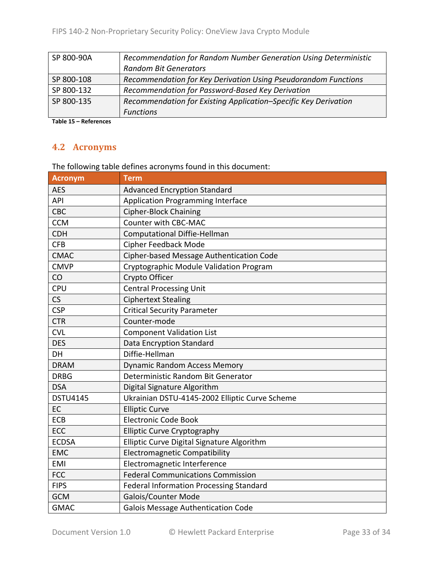| SP 800-90A | Recommendation for Random Number Generation Using Deterministic |
|------------|-----------------------------------------------------------------|
|            | <b>Random Bit Generators</b>                                    |
| SP 800-108 | Recommendation for Key Derivation Using Pseudorandom Functions  |
| SP 800-132 | Recommendation for Password-Based Key Derivation                |
| SP 800-135 | Recommendation for Existing Application-Specific Key Derivation |
|            | <b>Functions</b>                                                |

<span id="page-32-0"></span>**Table 15 – References**

#### **4.2 Acronyms**

The following table defines acronyms found in this document:

| <b>Acronym</b>  | <b>Term</b>                                    |
|-----------------|------------------------------------------------|
| <b>AES</b>      | <b>Advanced Encryption Standard</b>            |
| API             | <b>Application Programming Interface</b>       |
| CBC             | <b>Cipher-Block Chaining</b>                   |
| <b>CCM</b>      | Counter with CBC-MAC                           |
| <b>CDH</b>      | <b>Computational Diffie-Hellman</b>            |
| <b>CFB</b>      | Cipher Feedback Mode                           |
| <b>CMAC</b>     | Cipher-based Message Authentication Code       |
| <b>CMVP</b>     | Cryptographic Module Validation Program        |
| CO              | Crypto Officer                                 |
| <b>CPU</b>      | <b>Central Processing Unit</b>                 |
| CS              | <b>Ciphertext Stealing</b>                     |
| <b>CSP</b>      | <b>Critical Security Parameter</b>             |
| <b>CTR</b>      | Counter-mode                                   |
| <b>CVL</b>      | <b>Component Validation List</b>               |
| <b>DES</b>      | Data Encryption Standard                       |
| DH              | Diffie-Hellman                                 |
| <b>DRAM</b>     | <b>Dynamic Random Access Memory</b>            |
| <b>DRBG</b>     | Deterministic Random Bit Generator             |
| <b>DSA</b>      | Digital Signature Algorithm                    |
| <b>DSTU4145</b> | Ukrainian DSTU-4145-2002 Elliptic Curve Scheme |
| EC              | <b>Elliptic Curve</b>                          |
| ECB             | <b>Electronic Code Book</b>                    |
| ECC             | <b>Elliptic Curve Cryptography</b>             |
| <b>ECDSA</b>    | Elliptic Curve Digital Signature Algorithm     |
| <b>EMC</b>      | <b>Electromagnetic Compatibility</b>           |
| <b>EMI</b>      | Electromagnetic Interference                   |
| <b>FCC</b>      | <b>Federal Communications Commission</b>       |
| <b>FIPS</b>     | <b>Federal Information Processing Standard</b> |
| <b>GCM</b>      | Galois/Counter Mode                            |
| <b>GMAC</b>     | <b>Galois Message Authentication Code</b>      |